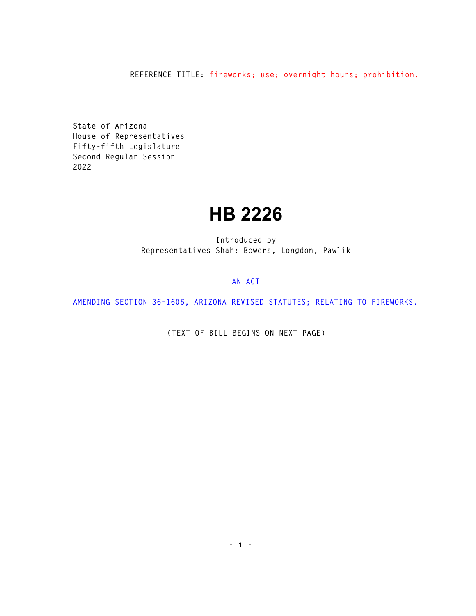**REFERENCE TITLE: fireworks; use; overnight hours; prohibition.** 

**State of Arizona House of Representatives Fifty-fifth Legislature Second Regular Session 2022** 

## **HB 2226**

**Introduced by Representatives Shah: Bowers, Longdon, Pawlik** 

## **AN ACT**

**AMENDING SECTION 36-1606, ARIZONA REVISED STATUTES; RELATING TO FIREWORKS.** 

**(TEXT OF BILL BEGINS ON NEXT PAGE)**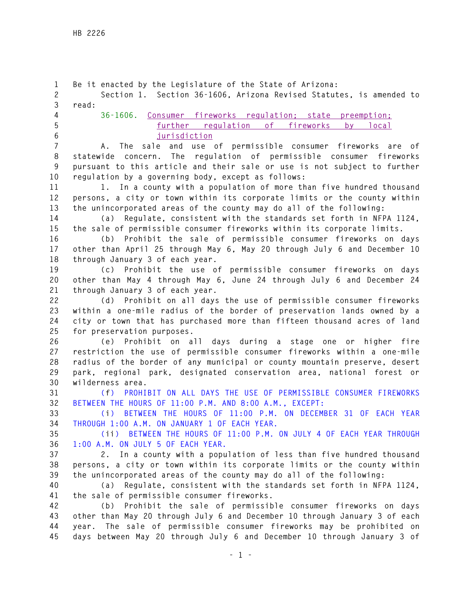**1 Be it enacted by the Legislature of the State of Arizona: 2 Section 1. Section 36-1606, Arizona Revised Statutes, is amended to 3 read: 4 36-1606. Consumer fireworks regulation; state preemption; 5 further regulation of fireworks by local 6 jurisdiction 7 A. The sale and use of permissible consumer fireworks are of 8 statewide concern. The regulation of permissible consumer fireworks 9 pursuant to this article and their sale or use is not subject to further 10 regulation by a governing body, except as follows: 11 1. In a county with a population of more than five hundred thousand 12 persons, a city or town within its corporate limits or the county within 13 the unincorporated areas of the county may do all of the following: 14 (a) Regulate, consistent with the standards set forth in NFPA 1124, 15 the sale of permissible consumer fireworks within its corporate limits. 16 (b) Prohibit the sale of permissible consumer fireworks on days 17 other than April 25 through May 6, May 20 through July 6 and December 10 18 through January 3 of each year. 19 (c) Prohibit the use of permissible consumer fireworks on days 20 other than May 4 through May 6, June 24 through July 6 and December 24 21 through January 3 of each year. 22 (d) Prohibit on all days the use of permissible consumer fireworks 23 within a one-mile radius of the border of preservation lands owned by a 24 city or town that has purchased more than fifteen thousand acres of land 25 for preservation purposes. 26 (e) Prohibit on all days during a stage one or higher fire 27 restriction the use of permissible consumer fireworks within a one-mile 28 radius of the border of any municipal or county mountain preserve, desert 29 park, regional park, designated conservation area, national forest or 30 wilderness area. 31 (f) PROHIBIT ON ALL DAYS THE USE OF PERMISSIBLE CONSUMER FIREWORKS 32 BETWEEN THE HOURS OF 11:00 P.M. AND 8:00 A.M., EXCEPT: 33 (i) BETWEEN THE HOURS OF 11:00 P.M. ON DECEMBER 31 OF EACH YEAR 34 THROUGH 1:00 A.M. ON JANUARY 1 OF EACH YEAR. 35 (ii) BETWEEN THE HOURS OF 11:00 P.M. ON JULY 4 OF EACH YEAR THROUGH 36 1:00 A.M. ON JULY 5 OF EACH YEAR. 37 2. In a county with a population of less than five hundred thousand 38 persons, a city or town within its corporate limits or the county within 39 the unincorporated areas of the county may do all of the following: 40 (a) Regulate, consistent with the standards set forth in NFPA 1124, 41 the sale of permissible consumer fireworks. 42 (b) Prohibit the sale of permissible consumer fireworks on days 43 other than May 20 through July 6 and December 10 through January 3 of each 44 year. The sale of permissible consumer fireworks may be prohibited on 45 days between May 20 through July 6 and December 10 through January 3 of**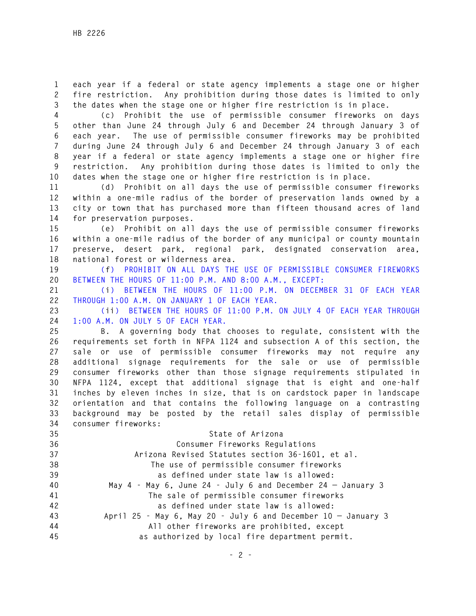**1 each year if a federal or state agency implements a stage one or higher 2 fire restriction. Any prohibition during those dates is limited to only 3 the dates when the stage one or higher fire restriction is in place.** 

**4 (c) Prohibit the use of permissible consumer fireworks on days 5 other than June 24 through July 6 and December 24 through January 3 of 6 each year. The use of permissible consumer fireworks may be prohibited 7 during June 24 through July 6 and December 24 through January 3 of each 8 year if a federal or state agency implements a stage one or higher fire 9 restriction. Any prohibition during those dates is limited to only the 10 dates when the stage one or higher fire restriction is in place.** 

**11 (d) Prohibit on all days the use of permissible consumer fireworks 12 within a one-mile radius of the border of preservation lands owned by a 13 city or town that has purchased more than fifteen thousand acres of land 14 for preservation purposes.** 

**15 (e) Prohibit on all days the use of permissible consumer fireworks 16 within a one-mile radius of the border of any municipal or county mountain 17 preserve, desert park, regional park, designated conservation area, 18 national forest or wilderness area.** 

**19 (f) PROHIBIT ON ALL DAYS THE USE OF PERMISSIBLE CONSUMER FIREWORKS 20 BETWEEN THE HOURS OF 11:00 P.M. AND 8:00 A.M., EXCEPT:** 

**21 (i) BETWEEN THE HOURS OF 11:00 P.M. ON DECEMBER 31 OF EACH YEAR 22 THROUGH 1:00 A.M. ON JANUARY 1 OF EACH YEAR.** 

**23 (ii) BETWEEN THE HOURS OF 11:00 P.M. ON JULY 4 OF EACH YEAR THROUGH 24 1:00 A.M. ON JULY 5 OF EACH YEAR.** 

**25 B. A governing body that chooses to regulate, consistent with the 26 requirements set forth in NFPA 1124 and subsection A of this section, the 27 sale or use of permissible consumer fireworks may not require any 28 additional signage requirements for the sale or use of permissible 29 consumer fireworks other than those signage requirements stipulated in 30 NFPA 1124, except that additional signage that is eight and one-half 31 inches by eleven inches in size, that is on cardstock paper in landscape 32 orientation and that contains the following language on a contrasting 33 background may be posted by the retail sales display of permissible 34 consumer fireworks:** 

| ◡᠇ | CONSUMER INCOVERS.                                                 |
|----|--------------------------------------------------------------------|
| 35 | State of Arizona                                                   |
| 36 | Consumer Fireworks Regulations                                     |
| 37 | Arizona Revised Statutes section 36-1601, et al.                   |
| 38 | The use of permissible consumer fireworks                          |
| 39 | as defined under state law is allowed:                             |
| 40 | May $4$ - May $6$ , June 24 - July $6$ and December 24 - January 3 |
| 41 | The sale of permissible consumer fireworks                         |
| 42 | as defined under state law is allowed:                             |
| 43 | April 25 - May 6, May 20 - July 6 and December $10 -$ January 3    |
| 44 | All other fireworks are prohibited, except                         |
| 45 | as authorized by local fire department permit.                     |